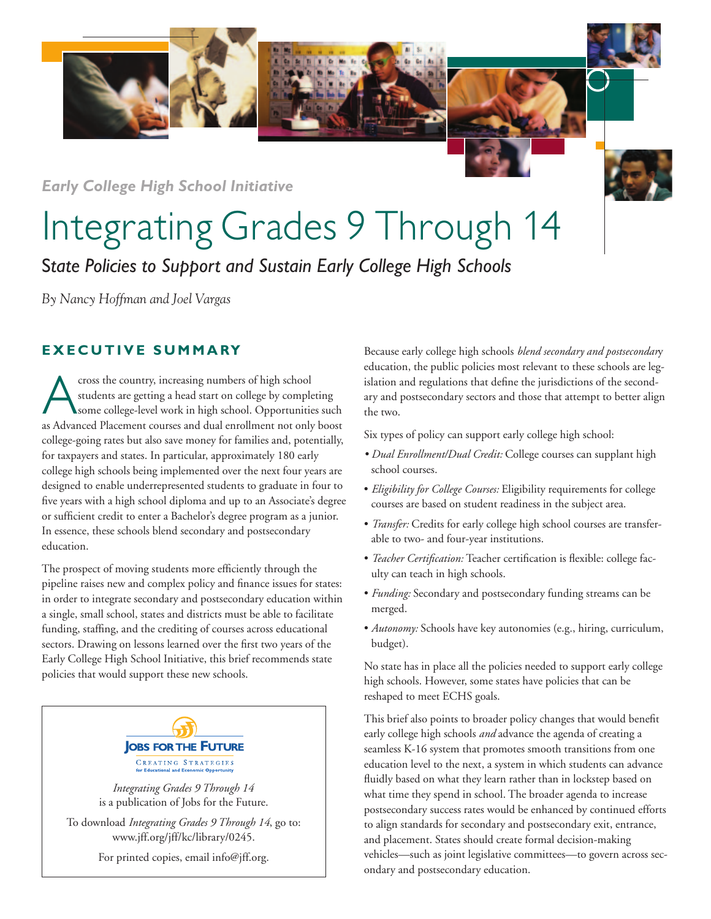*Early College High School Initiative*

## Integrating Grades 9 Through 14

S*tate Policies to Support and Sustain Early College High Schools*

*By Nancy Hoffman and Joel Vargas*

## **EXECUTIVE SUMMARY**

cross the country, increasing numbers of high school<br>students are getting a head start on college by compl<br>some college-level work in high school. Opportunities<br>as Advanced Placement courses and dual enrollment not only students are getting a head start on college by completing some college-level work in high school. Opportunities such as Advanced Placement courses and dual enrollment not only boost college-going rates but also save money for families and, potentially, for taxpayers and states. In particular, approximately 180 early college high schools being implemented over the next four years are designed to enable underrepresented students to graduate in four to five years with a high school diploma and up to an Associate's degree or sufficient credit to enter a Bachelor's degree program as a junior. In essence, these schools blend secondary and postsecondary education.

The prospect of moving students more efficiently through the pipeline raises new and complex policy and finance issues for states: in order to integrate secondary and postsecondary education within a single, small school, states and districts must be able to facilitate funding, staffing, and the crediting of courses across educational sectors. Drawing on lessons learned over the first two years of the Early College High School Initiative, this brief recommends state policies that would support these new schools.



*Integrating Grades 9 Through 14* is a publication of Jobs for the Future.

To download *Integrating Grades 9 Through 14*, go to: www.jff.org/jff/kc/library/0245.

For printed copies, email info@jff.org.

Because early college high schools *blend secondary and postsecondar*y education, the public policies most relevant to these schools are legislation and regulations that define the jurisdictions of the secondary and postsecondary sectors and those that attempt to better align the two.

Six types of policy can support early college high school:

- *Dual Enrollment/Dual Credit:* College courses can supplant high school courses.
- *Eligibility for College Courses:* Eligibility requirements for college courses are based on student readiness in the subject area.
- *Transfer:* Credits for early college high school courses are transferable to two- and four-year institutions.
- *Teacher Certification:* Teacher certification is flexible: college faculty can teach in high schools.
- *Funding:* Secondary and postsecondary funding streams can be merged.
- *Autonomy:* Schools have key autonomies (e.g., hiring, curriculum, budget).

No state has in place all the policies needed to support early college high schools. However, some states have policies that can be reshaped to meet ECHS goals.

This brief also points to broader policy changes that would benefit early college high schools *and* advance the agenda of creating a seamless K-16 system that promotes smooth transitions from one education level to the next, a system in which students can advance fluidly based on what they learn rather than in lockstep based on what time they spend in school. The broader agenda to increase postsecondary success rates would be enhanced by continued efforts to align standards for secondary and postsecondary exit, entrance, and placement. States should create formal decision-making vehicles—such as joint legislative committees—to govern across secondary and postsecondary education.